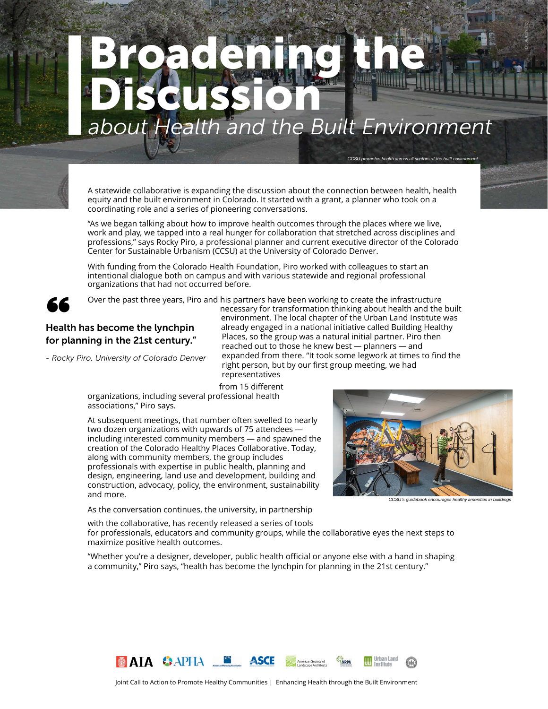# *about Health and the Built Environment*  Broadening the Discussion

A statewide collaborative is expanding the discussion about the connection between health, health equity and the built environment in Colorado. It started with a grant, a planner who took on a coordinating role and a series of pioneering conversations.

"As we began talking about how to improve health outcomes through the places where we live, work and play, we tapped into a real hunger for collaboration that stretched across disciplines and professions," says Rocky Piro, a professional planner and current executive director of the Colorado Center for Sustainable Urbanism (CCSU) at the University of Colorado Denver.

With funding from the Colorado Health Foundation, Piro worked with colleagues to start an intentional dialogue both on campus and with various statewide and regional professional organizations that had not occurred before.



Over the past three years, Piro and his partners have been working to create the infrastructure

## SCS Over the past three years, Pirth<br>Health has become the lynchpin<br>for planning in the 21st century." for planning in the 21st century."

*- Rocky Piro, University of Colorado Denver*

necessary for transformation thinking about health and the built environment. The local chapter of the Urban Land Institute was already engaged in a national initiative called Building Healthy Places, so the group was a natural initial partner. Piro then reached out to those he knew best — planners — and expanded from there. "It took some legwork at times to find the right person, but by our first group meeting, we had representatives

from 15 different

organizations, including several professional health associations," Piro says.

At subsequent meetings, that number often swelled to nearly two dozen organizations with upwards of 75 attendees including interested community members — and spawned the creation of the Colorado Healthy Places Collaborative. Today, along with community members, the group includes professionals with expertise in public health, planning and design, engineering, land use and development, building and construction, advocacy, policy, the environment, sustainability and more.

As the conversation continues, the university, in partnership



CCSU promotes health across all sectors of the built environme

*Dr. Austin Troy*

with the collaborative, has recently released a series of tools for professionals, educators and community groups, while the collaborative eyes the next steps to maximize positive health outcomes.

"Whether you're a designer, developer, public health official or anyone else with a hand in shaping a community," Piro says, "health has become the lynchpin for planning in the 21st century."